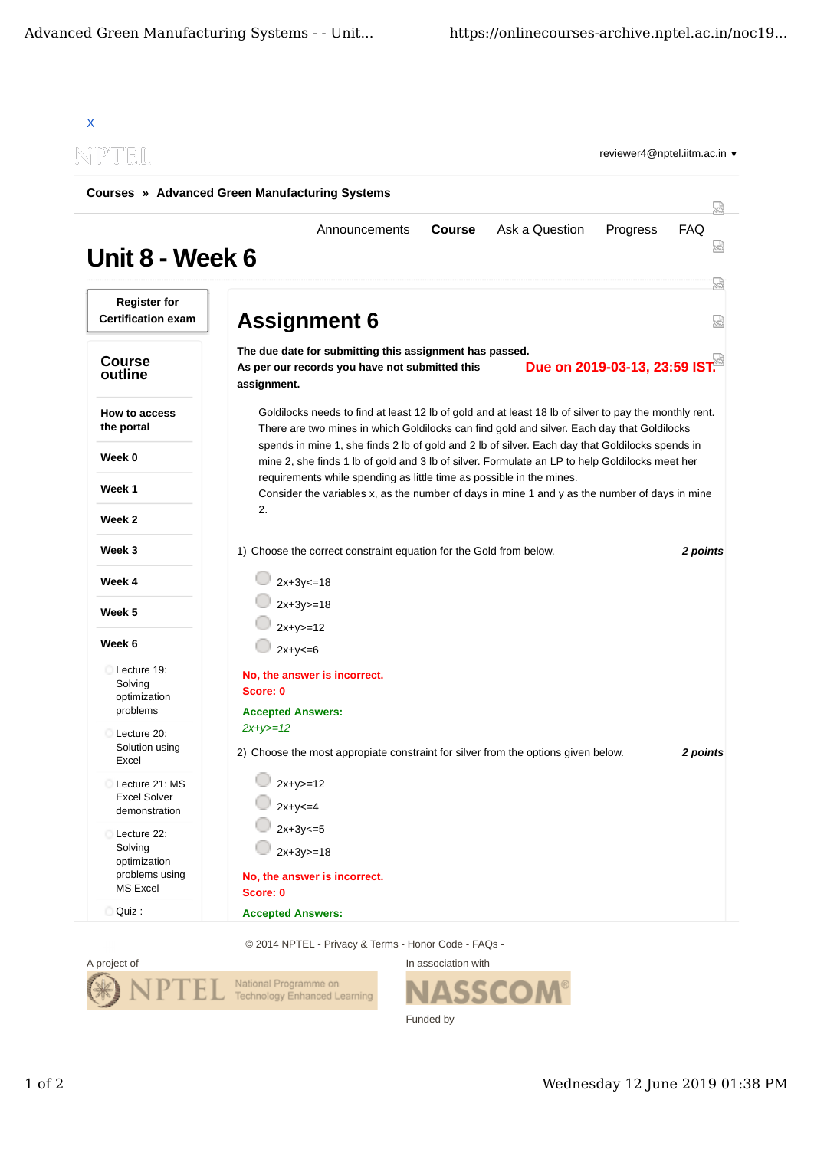| NPTEL                                                                |                                                                                                                                                                                                     |          |  |
|----------------------------------------------------------------------|-----------------------------------------------------------------------------------------------------------------------------------------------------------------------------------------------------|----------|--|
|                                                                      | <b>Courses » Advanced Green Manufacturing Systems</b>                                                                                                                                               |          |  |
| Unit 8 - Week 6                                                      | <b>Course</b><br>Ask a Question<br>Announcements<br>Progress                                                                                                                                        | FAQ      |  |
| <b>Register for</b><br><b>Certification exam</b>                     | <b>Assignment 6</b>                                                                                                                                                                                 | 눲<br>덣   |  |
| <b>Course</b><br>outline                                             | The due date for submitting this assignment has passed.<br>Due on 2019-03-13, 23:59 IST.<br>As per our records you have not submitted this<br>assignment.                                           |          |  |
| How to access<br>the portal                                          | Goldilocks needs to find at least 12 lb of gold and at least 18 lb of silver to pay the monthly rent.<br>There are two mines in which Goldilocks can find gold and silver. Each day that Goldilocks |          |  |
| Week 0                                                               | spends in mine 1, she finds 2 lb of gold and 2 lb of silver. Each day that Goldilocks spends in<br>mine 2, she finds 1 lb of gold and 3 lb of silver. Formulate an LP to help Goldilocks meet her   |          |  |
| Week 1                                                               | requirements while spending as little time as possible in the mines.<br>Consider the variables x, as the number of days in mine 1 and y as the number of days in mine                               |          |  |
| Week 2                                                               | 2.                                                                                                                                                                                                  |          |  |
| Week 3                                                               | 1) Choose the correct constraint equation for the Gold from below.                                                                                                                                  | 2 points |  |
| Week 4                                                               | $2x+3y=18$                                                                                                                                                                                          |          |  |
| Week 5                                                               | $2x+3y>=18$                                                                                                                                                                                         |          |  |
| Week 6                                                               | $2x+y>=12$<br>$2x+y=6$                                                                                                                                                                              |          |  |
| Lecture 19:<br>Solving<br>optimization<br>problems                   | No, the answer is incorrect.<br>Score: 0<br><b>Accepted Answers:</b>                                                                                                                                |          |  |
| Lecture 20:<br>Solution using<br>Excel                               | $2x+y>=12$<br>2) Choose the most appropiate constraint for silver from the options given below.                                                                                                     | 2 points |  |
| Lecture 21: MS<br><b>Excel Solver</b><br>demonstration               | $2x+y>=12$<br>$2x+y<=4$                                                                                                                                                                             |          |  |
| Lecture 22:<br>Solving<br>optimization<br>problems using<br>MS Excel | $2x+3y=5$<br>$2x+3y>=18$<br>No, the answer is incorrect.                                                                                                                                            |          |  |
|                                                                      | Score: 0                                                                                                                                                                                            |          |  |

© 2014 NPTEL - Privacy & Terms - Honor Code - FAQs -



In association with **SSCOM®** Funded by